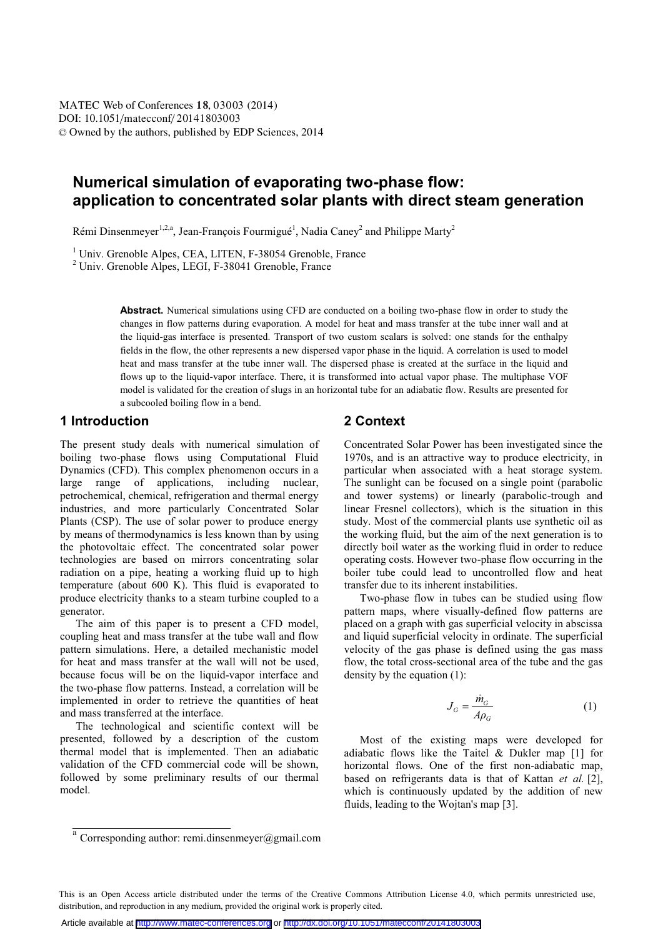# **Numerical simulation of evaporating two-phase flow: application to concentrated solar plants with direct steam generation**

Rémi Dinsenmeyer<sup>1,2,a</sup>, Jean-François Fourmigué<sup>1</sup>, Nadia Caney<sup>2</sup> and Philippe Marty<sup>2</sup>

<sup>1</sup> Univ. Grenoble Alpes, CEA, LITEN, F-38054 Grenoble, France

<sup>2</sup> Univ. Grenoble Alpes, LEGI, F-38041 Grenoble, France

Abstract. Numerical simulations using CFD are conducted on a boiling two-phase flow in order to study the changes in flow patterns during evaporation. A model for heat and mass transfer at the tube inner wall and at the liquid-gas interface is presented. Transport of two custom scalars is solved: one stands for the enthalpy fields in the flow, the other represents a new dispersed vapor phase in the liquid. A correlation is used to model heat and mass transfer at the tube inner wall. The dispersed phase is created at the surface in the liquid and flows up to the liquid-vapor interface. There, it is transformed into actual vapor phase. The multiphase VOF model is validated for the creation of slugs in an horizontal tube for an adiabatic flow. Results are presented for a subcooled boiling flow in a bend.

### **1 Introduction**

The present study deals with numerical simulation of boiling two-phase flows using Computational Fluid Dynamics (CFD). This complex phenomenon occurs in a large range of applications, including nuclear, petrochemical, chemical, refrigeration and thermal energy industries, and more particularly Concentrated Solar Plants (CSP). The use of solar power to produce energy by means of thermodynamics is less known than by using the photovoltaic effect. The concentrated solar power technologies are based on mirrors concentrating solar radiation on a pipe, heating a working fluid up to high temperature (about 600 K). This fluid is evaporated to produce electricity thanks to a steam turbine coupled to a generator.

The aim of this paper is to present a CFD model, coupling heat and mass transfer at the tube wall and flow pattern simulations. Here, a detailed mechanistic model for heat and mass transfer at the wall will not be used, because focus will be on the liquid-vapor interface and the two-phase flow patterns. Instead, a correlation will be implemented in order to retrieve the quantities of heat and mass transferred at the interface.

The technological and scientific context will be presented, followed by a description of the custom thermal model that is implemented. Then an adiabatic validation of the CFD commercial code will be shown, followed by some preliminary results of our thermal model.

# **2 Context**

Concentrated Solar Power has been investigated since the 1970s, and is an attractive way to produce electricity, in particular when associated with a heat storage system. The sunlight can be focused on a single point (parabolic and tower systems) or linearly (parabolic-trough and linear Fresnel collectors), which is the situation in this study. Most of the commercial plants use synthetic oil as the working fluid, but the aim of the next generation is to directly boil water as the working fluid in order to reduce operating costs. However two-phase flow occurring in the boiler tube could lead to uncontrolled flow and heat transfer due to its inherent instabilities.

Two-phase flow in tubes can be studied using flow pattern maps, where visually-defined flow patterns are placed on a graph with gas superficial velocity in abscissa and liquid superficial velocity in ordinate. The superficial velocity of the gas phase is defined using the gas mass flow, the total cross-sectional area of the tube and the gas density by the equation (1):

$$
J_G = \frac{\dot{m}_G}{A\rho_G} \tag{1}
$$

Most of the existing maps were developed for adiabatic flows like the Taitel & Dukler map [1] for horizontal flows. One of the first non-adiabatic map, based on refrigerants data is that of Kattan *et al.* [2], which is continuously updated by the addition of new fluids, leading to the Wojtan's map [3].

<sup>&</sup>lt;sup>a</sup> Corresponding author: remi.dinsenmeyer@gmail.com

This is an Open Access article distributed under the terms of the Creative Commons Attribution License 4.0, which permits unrestricted use, distribution, and reproduction in any medium, provided the original work is properly cited.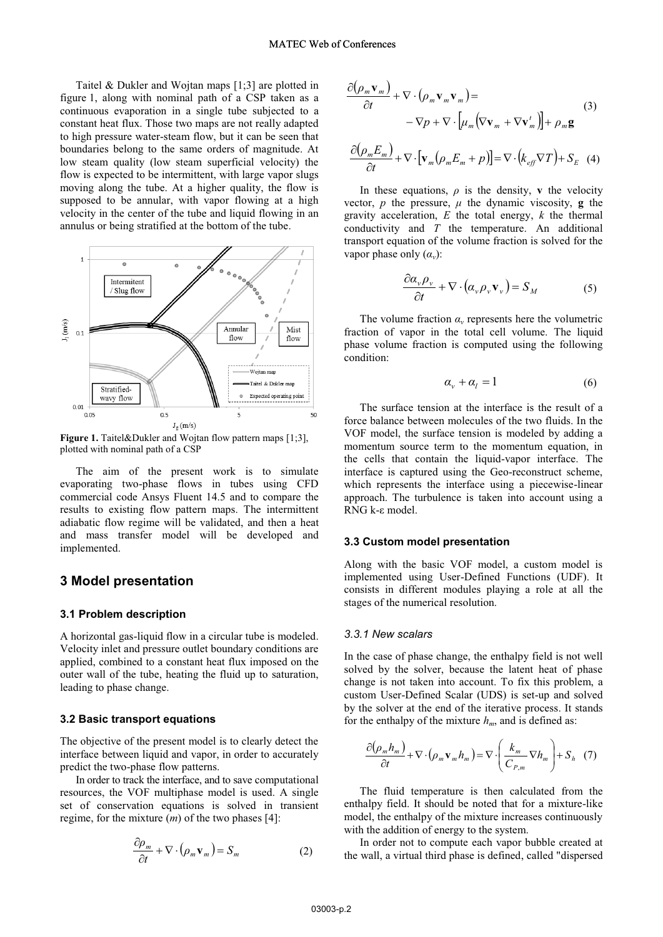Taitel & Dukler and Wojtan maps [1;3] are plotted in figure 1, along with nominal path of a CSP taken as a continuous evaporation in a single tube subjected to a constant heat flux. Those two maps are not really adapted to high pressure water-steam flow, but it can be seen that boundaries belong to the same orders of magnitude. At low steam quality (low steam superficial velocity) the flow is expected to be intermittent, with large vapor slugs moving along the tube. At a higher quality, the flow is supposed to be annular, with vapor flowing at a high velocity in the center of the tube and liquid flowing in an annulus or being stratified at the bottom of the tube.



**Figure 1.** Taitel&Dukler and Wojtan flow pattern maps [1;3], plotted with nominal path of a CSP

The aim of the present work is to simulate evaporating two-phase flows in tubes using CFD commercial code Ansys Fluent 14.5 and to compare the results to existing flow pattern maps. The intermittent adiabatic flow regime will be validated, and then a heat and mass transfer model will be developed and implemented.

# **3 Model presentation**

#### **3.1 Problem description**

A horizontal gas-liquid flow in a circular tube is modeled. Velocity inlet and pressure outlet boundary conditions are applied, combined to a constant heat flux imposed on the outer wall of the tube, heating the fluid up to saturation, leading to phase change.

#### **3.2 Basic transport equations**

The objective of the present model is to clearly detect the interface between liquid and vapor, in order to accurately predict the two-phase flow patterns.

In order to track the interface, and to save computational resources, the VOF multiphase model is used. A single set of conservation equations is solved in transient regime, for the mixture (*m*) of the two phases [4]:

$$
\frac{\partial \rho_m}{\partial t} + \nabla \cdot (\rho_m \mathbf{v}_m) = S_m \tag{2}
$$

$$
\frac{\partial(\rho_m \mathbf{v}_m)}{\partial t} + \nabla \cdot (\rho_m \mathbf{v}_m \mathbf{v}_m) =
$$
  
-  $\nabla p + \nabla \cdot [\mu_m (\nabla \mathbf{v}_m + \nabla \mathbf{v}'_m)] + \rho_m \mathbf{g}$  (3)

$$
\frac{\partial(\rho_m E_m)}{\partial t} + \nabla \cdot \left[ \mathbf{v}_m (\rho_m E_m + p) \right] = \nabla \cdot \left( k_{\text{eff}} \nabla T \right) + S_E \quad (4)
$$

In these equations,  $\rho$  is the density, **v** the velocity vector, *p* the pressure,  $\mu$  the dynamic viscosity, **g** the gravity acceleration, *E* the total energy, *k* the thermal conductivity and *T* the temperature. An additional transport equation of the volume fraction is solved for the vapor phase only  $(\alpha_v)$ :

$$
\frac{\partial \alpha_{\nu} \rho_{\nu}}{\partial t} + \nabla \cdot (\alpha_{\nu} \rho_{\nu} \mathbf{v}_{\nu}) = S_M \tag{5}
$$

The volume fraction  $\alpha$ <sup>*v*</sup> represents here the volumetric fraction of vapor in the total cell volume. The liquid phase volume fraction is computed using the following condition:

$$
\alpha_{v} + \alpha_{l} = 1 \tag{6}
$$

The surface tension at the interface is the result of a force balance between molecules of the two fluids. In the VOF model, the surface tension is modeled by adding a momentum source term to the momentum equation, in the cells that contain the liquid-vapor interface. The interface is captured using the Geo-reconstruct scheme, which represents the interface using a piecewise-linear approach. The turbulence is taken into account using a RNG k-ε model.

#### **3.3 Custom model presentation**

Along with the basic VOF model, a custom model is implemented using User-Defined Functions (UDF). It consists in different modules playing a role at all the stages of the numerical resolution.

#### *3.3.1 New scalars*

In the case of phase change, the enthalpy field is not well solved by the solver, because the latent heat of phase change is not taken into account. To fix this problem, a custom User-Defined Scalar (UDS) is set-up and solved by the solver at the end of the iterative process. It stands for the enthalpy of the mixture  $h_m$ , and is defined as:

$$
\frac{\partial(\rho_m h_m)}{\partial t} + \nabla \cdot (\rho_m \mathbf{v}_m h_m) = \nabla \cdot \left(\frac{k_m}{C_{P,m}} \nabla h_m\right) + S_h \quad (7)
$$

The fluid temperature is then calculated from the enthalpy field. It should be noted that for a mixture-like model, the enthalpy of the mixture increases continuously with the addition of energy to the system.

In order not to compute each vapor bubble created at the wall, a virtual third phase is defined, called "dispersed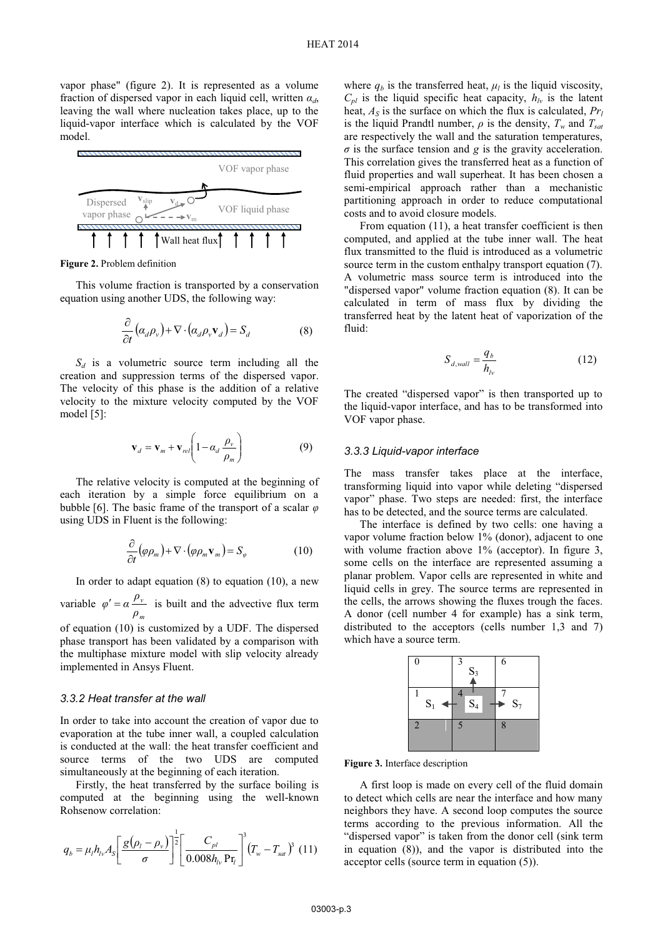vapor phase" (figure 2). It is represented as a volume fraction of dispersed vapor in each liquid cell, written *αd*, leaving the wall where nucleation takes place, up to the liquid-vapor interface which is calculated by the VOF model.



**Figure 2.** Problem definition

This volume fraction is transported by a conservation equation using another UDS, the following way:

$$
\frac{\partial}{\partial t} \left( \alpha_d \rho_v \right) + \nabla \cdot \left( \alpha_d \rho_v \mathbf{v}_d \right) = S_d \tag{8}
$$

 $S_d$  is a volumetric source term including all the creation and suppression terms of the dispersed vapor. The velocity of this phase is the addition of a relative velocity to the mixture velocity computed by the VOF model [5]:

$$
\mathbf{v}_d = \mathbf{v}_m + \mathbf{v}_{rel} \left( 1 - \alpha_d \frac{\rho_v}{\rho_m} \right) \tag{9}
$$

The relative velocity is computed at the beginning of each iteration by a simple force equilibrium on a bubble [6]. The basic frame of the transport of a scalar *φ* using UDS in Fluent is the following:

$$
\frac{\partial}{\partial t}(\varphi \rho_m) + \nabla \cdot (\varphi \rho_m \mathbf{v}_m) = S_{\varphi}
$$
 (10)

In order to adapt equation  $(8)$  to equation  $(10)$ , a new

variable *m v ρ*  $\varphi' = \alpha \frac{\rho_{\nu}}{\rho}$  is built and the advective flux term

of equation (10) is customized by a UDF. The dispersed phase transport has been validated by a comparison with the multiphase mixture model with slip velocity already implemented in Ansys Fluent.

#### *3.3.2 Heat transfer at the wall*

In order to take into account the creation of vapor due to evaporation at the tube inner wall, a coupled calculation is conducted at the wall: the heat transfer coefficient and source terms of the two UDS are computed simultaneously at the beginning of each iteration.

Firstly, the heat transferred by the surface boiling is computed at the beginning using the well-known Rohsenow correlation:

$$
q_b = \mu_l h_{lv} A_s \left[ \frac{g(\rho_l - \rho_v)}{\sigma} \right]^{\frac{1}{2}} \left[ \frac{C_{pl}}{0.008 h_{lv} \Pr_l} \right]^3 (T_w - T_{sat})^3 (11)
$$

where  $q_b$  is the transferred heat,  $\mu_l$  is the liquid viscosity,  $C_{pl}$  is the liquid specific heat capacity,  $h_{lv}$  is the latent heat,  $A<sub>S</sub>$  is the surface on which the flux is calculated,  $Pr<sub>l</sub>$ is the liquid Prandtl number,  $\rho$  is the density,  $T_w$  and  $T_{sat}$ are respectively the wall and the saturation temperatures,  $\sigma$  is the surface tension and *g* is the gravity acceleration. This correlation gives the transferred heat as a function of fluid properties and wall superheat. It has been chosen a semi-empirical approach rather than a mechanistic partitioning approach in order to reduce computational costs and to avoid closure models.

From equation (11), a heat transfer coefficient is then computed, and applied at the tube inner wall. The heat flux transmitted to the fluid is introduced as a volumetric source term in the custom enthalpy transport equation (7). A volumetric mass source term is introduced into the "dispersed vapor" volume fraction equation (8). It can be calculated in term of mass flux by dividing the transferred heat by the latent heat of vaporization of the fluid:

$$
S_{d,wall} = \frac{q_b}{h_{lv}}\tag{12}
$$

The created "dispersed vapor" is then transported up to the liquid-vapor interface, and has to be transformed into VOF vapor phase.

#### *3.3.3 Liquid-vapor interface*

The mass transfer takes place at the interface, transforming liquid into vapor while deleting "dispersed vapor" phase. Two steps are needed: first, the interface has to be detected, and the source terms are calculated.

The interface is defined by two cells: one having a vapor volume fraction below 1% (donor), adjacent to one with volume fraction above 1% (acceptor). In figure 3, some cells on the interface are represented assuming a planar problem. Vapor cells are represented in white and liquid cells in grey. The source terms are represented in the cells, the arrows showing the fluxes trough the faces. A donor (cell number 4 for example) has a sink term, distributed to the acceptors (cells number 1,3 and 7) which have a source term.



**Figure 3.** Interface description

A first loop is made on every cell of the fluid domain to detect which cells are near the interface and how many neighbors they have. A second loop computes the source terms according to the previous information. All the "dispersed vapor" is taken from the donor cell (sink term in equation (8)), and the vapor is distributed into the acceptor cells (source term in equation (5)).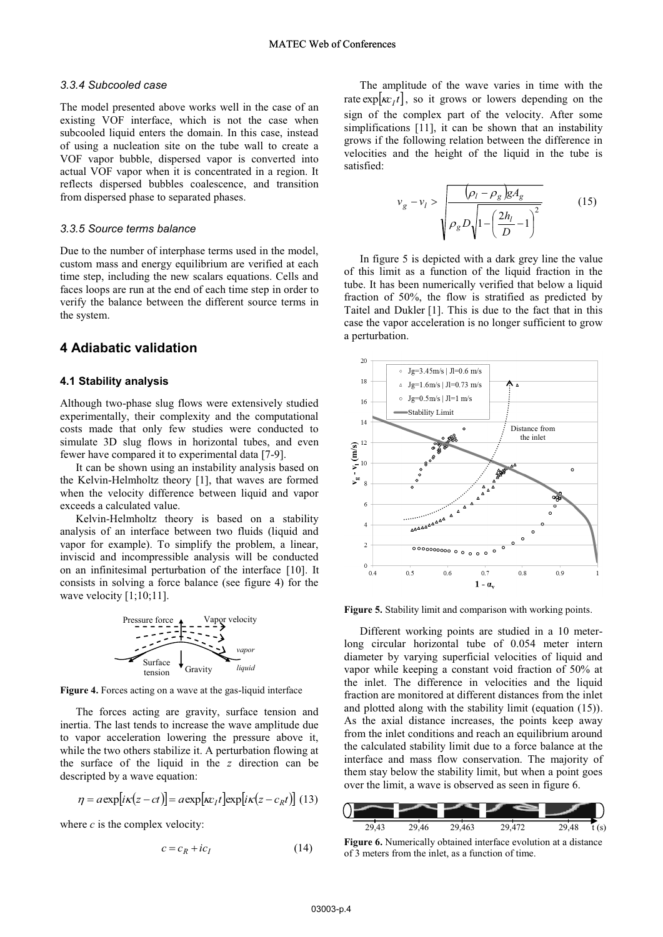#### *3.3.4 Subcooled case*

The model presented above works well in the case of an existing VOF interface, which is not the case when subcooled liquid enters the domain. In this case, instead of using a nucleation site on the tube wall to create a VOF vapor bubble, dispersed vapor is converted into actual VOF vapor when it is concentrated in a region. It reflects dispersed bubbles coalescence, and transition from dispersed phase to separated phases.

#### *3.3.5 Source terms balance*

Due to the number of interphase terms used in the model, custom mass and energy equilibrium are verified at each time step, including the new scalars equations. Cells and faces loops are run at the end of each time step in order to verify the balance between the different source terms in the system.

# **4 Adiabatic validation**

#### **4.1 Stability analysis**

Although two-phase slug flows were extensively studied experimentally, their complexity and the computational costs made that only few studies were conducted to simulate 3D slug flows in horizontal tubes, and even fewer have compared it to experimental data [7-9].

It can be shown using an instability analysis based on the Kelvin-Helmholtz theory [1], that waves are formed when the velocity difference between liquid and vapor exceeds a calculated value.

Kelvin-Helmholtz theory is based on a stability analysis of an interface between two fluids (liquid and vapor for example). To simplify the problem, a linear, inviscid and incompressible analysis will be conducted on an infinitesimal perturbation of the interface [10]. It consists in solving a force balance (see figure 4) for the wave velocity  $[1;10;11]$ .



**Figure 4.** Forces acting on a wave at the gas-liquid interface

The forces acting are gravity, surface tension and inertia. The last tends to increase the wave amplitude due to vapor acceleration lowering the pressure above it, while the two others stabilize it. A perturbation flowing at the surface of the liquid in the *z* direction can be descripted by a wave equation:

$$
\eta = a \exp[i\kappa(z - ct)] = a \exp[\kappa r_t] \exp[i\kappa(z - c_R t)] \tag{13}
$$

where  $c$  is the complex velocity:

$$
c = c_R + ic_I \tag{14}
$$

The amplitude of the wave varies in time with the rate  $\exp[\kappa r_I t]$ , so it grows or lowers depending on the sign of the complex part of the velocity. After some simplifications [11], it can be shown that an instability grows if the following relation between the difference in velocities and the height of the liquid in the tube is satisfied:

$$
v_g - v_l > \frac{\left(\rho_l - \rho_g\right) g A_g}{\rho_g D \sqrt{1 - \left(\frac{2h_l}{D} - 1\right)^2}}
$$
(15)

In figure 5 is depicted with a dark grey line the value of this limit as a function of the liquid fraction in the tube. It has been numerically verified that below a liquid fraction of 50%, the flow is stratified as predicted by Taitel and Dukler [1]. This is due to the fact that in this case the vapor acceleration is no longer sufficient to grow a perturbation.



**Figure 5.** Stability limit and comparison with working points.

Different working points are studied in a 10 meterlong circular horizontal tube of 0.054 meter intern diameter by varying superficial velocities of liquid and vapor while keeping a constant void fraction of 50% at the inlet. The difference in velocities and the liquid fraction are monitored at different distances from the inlet and plotted along with the stability limit (equation (15)). As the axial distance increases, the points keep away from the inlet conditions and reach an equilibrium around the calculated stability limit due to a force balance at the interface and mass flow conservation. The majority of them stay below the stability limit, but when a point goes over the limit, a wave is observed as seen in figure 6.



**Figure 6.** Numerically obtained interface evolution at a distance of 3 meters from the inlet, as a function of time.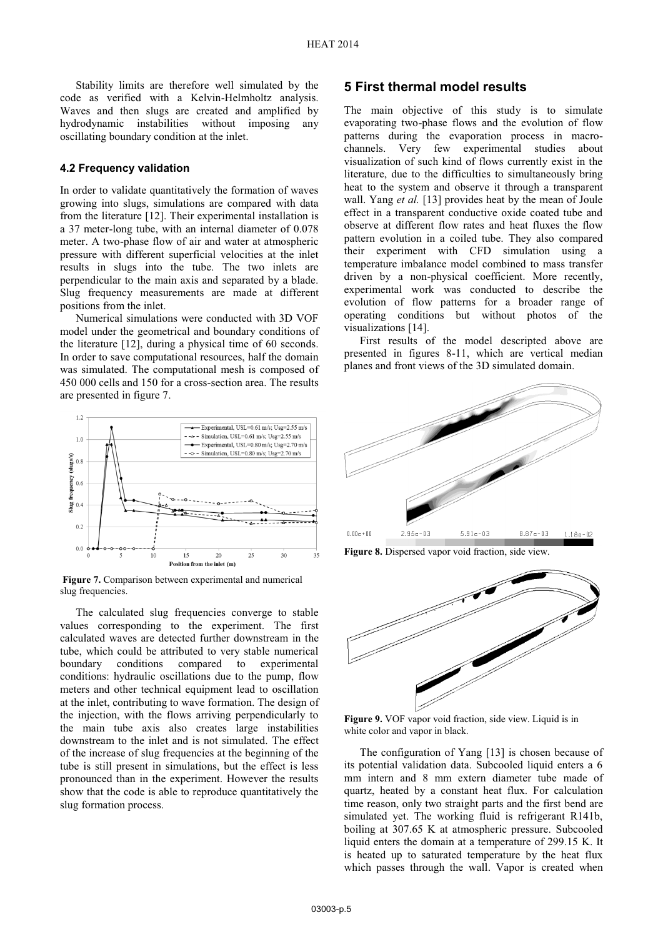Stability limits are therefore well simulated by the code as verified with a Kelvin-Helmholtz analysis. Waves and then slugs are created and amplified by hydrodynamic instabilities without imposing any oscillating boundary condition at the inlet.

#### **4.2 Frequency validation**

In order to validate quantitatively the formation of waves growing into slugs, simulations are compared with data from the literature [12]. Their experimental installation is a 37 meter-long tube, with an internal diameter of 0.078 meter. A two-phase flow of air and water at atmospheric pressure with different superficial velocities at the inlet results in slugs into the tube. The two inlets are perpendicular to the main axis and separated by a blade. Slug frequency measurements are made at different positions from the inlet.

Numerical simulations were conducted with 3D VOF model under the geometrical and boundary conditions of the literature [12], during a physical time of 60 seconds. In order to save computational resources, half the domain was simulated. The computational mesh is composed of 450 000 cells and 150 for a cross-section area. The results are presented in figure 7.



 **Figure 7.** Comparison between experimental and numerical slug frequencies.

The calculated slug frequencies converge to stable values corresponding to the experiment. The first calculated waves are detected further downstream in the tube, which could be attributed to very stable numerical boundary conditions compared to experimental conditions: hydraulic oscillations due to the pump, flow meters and other technical equipment lead to oscillation at the inlet, contributing to wave formation. The design of the injection, with the flows arriving perpendicularly to the main tube axis also creates large instabilities downstream to the inlet and is not simulated. The effect of the increase of slug frequencies at the beginning of the tube is still present in simulations, but the effect is less pronounced than in the experiment. However the results show that the code is able to reproduce quantitatively the slug formation process.

### **5 First thermal model results**

The main objective of this study is to simulate evaporating two-phase flows and the evolution of flow patterns during the evaporation process in macrochannels. Very few experimental studies about visualization of such kind of flows currently exist in the literature, due to the difficulties to simultaneously bring heat to the system and observe it through a transparent wall. Yang *et al.* [13] provides heat by the mean of Joule effect in a transparent conductive oxide coated tube and observe at different flow rates and heat fluxes the flow pattern evolution in a coiled tube. They also compared their experiment with CFD simulation using a temperature imbalance model combined to mass transfer driven by a non-physical coefficient. More recently, experimental work was conducted to describe the evolution of flow patterns for a broader range of operating conditions but without photos of the visualizations [14].

First results of the model descripted above are presented in figures 8-11, which are vertical median planes and front views of the 3D simulated domain.



**Figure 8.** Dispersed vapor void fraction, side view.



**Figure 9.** VOF vapor void fraction, side view. Liquid is in white color and vapor in black.

The configuration of Yang [13] is chosen because of its potential validation data. Subcooled liquid enters a 6 mm intern and 8 mm extern diameter tube made of quartz, heated by a constant heat flux. For calculation time reason, only two straight parts and the first bend are simulated yet. The working fluid is refrigerant R141b, boiling at 307.65 K at atmospheric pressure. Subcooled liquid enters the domain at a temperature of 299.15 K. It is heated up to saturated temperature by the heat flux which passes through the wall. Vapor is created when